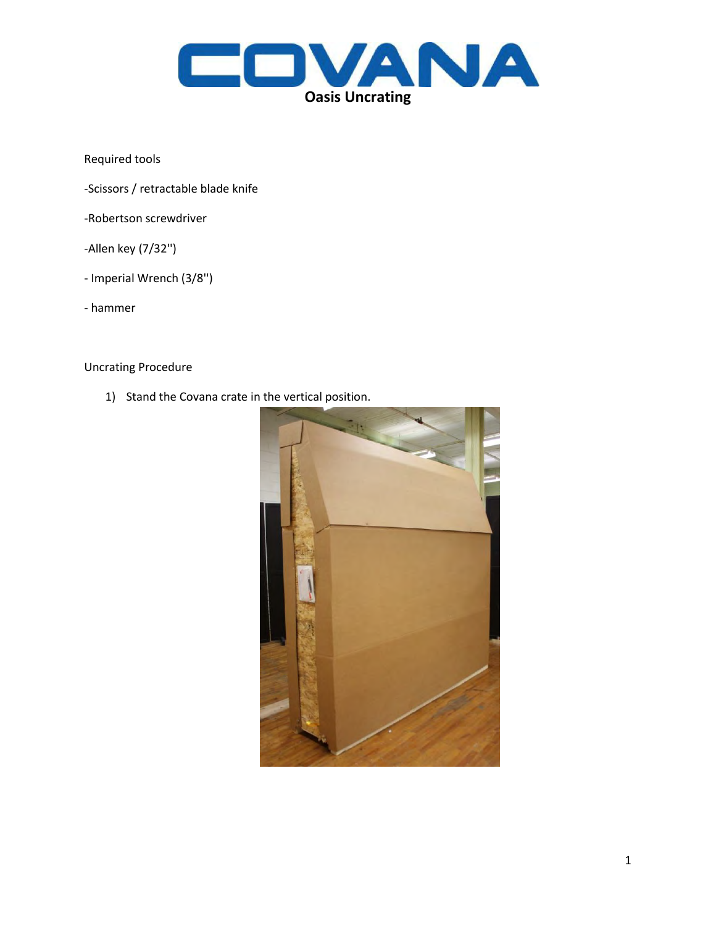

Required tools

- -Scissors / retractable blade knife
- -Robertson screwdriver
- -Allen key (7/32'')
- Imperial Wrench (3/8'')
- hammer

Uncrating Procedure

1) Stand the Covana crate in the vertical position.

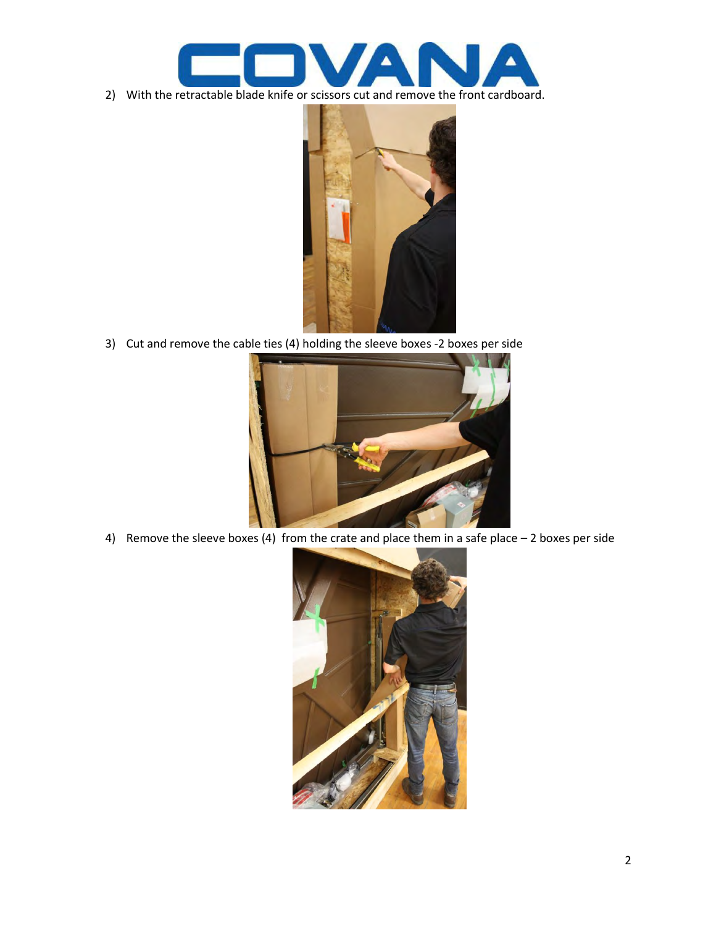

2) With the retractable blade knife or scissors cut and remove the front cardboard.



3) Cut and remove the cable ties (4) holding the sleeve boxes -2 boxes per side



4) Remove the sleeve boxes (4) from the crate and place them in a safe place – 2 boxes per side

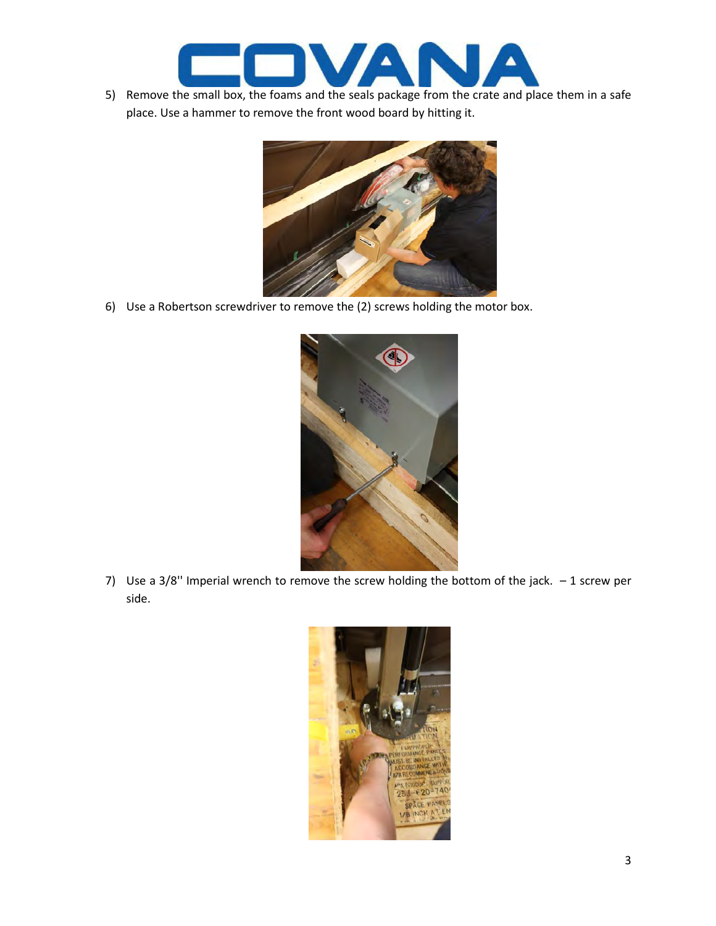

5) Remove the small box, the foams and the seals package from the crate and place them in a safe place. Use a hammer to remove the front wood board by hitting it.



6) Use a Robertson screwdriver to remove the (2) screws holding the motor box.



7) Use a  $3/8$ " Imperial wrench to remove the screw holding the bottom of the jack.  $-1$  screw per side.

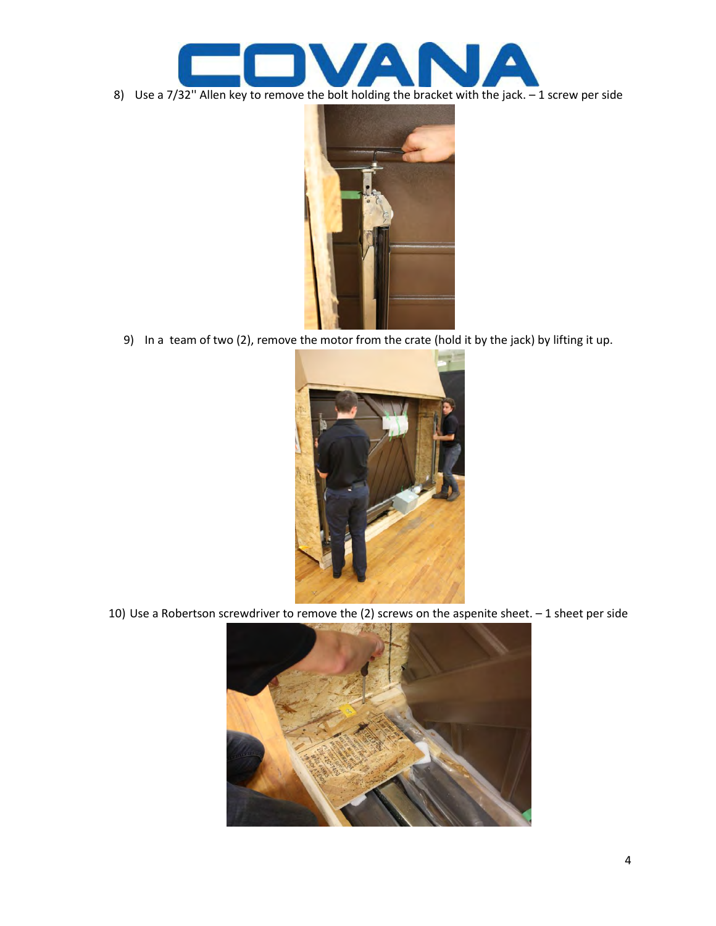

8) Use a 7/32" Allen key to remove the bolt holding the bracket with the jack. - 1 screw per side



9) In a team of two (2), remove the motor from the crate (hold it by the jack) by lifting it up.



10) Use a Robertson screwdriver to remove the (2) screws on the aspenite sheet. – 1 sheet per side

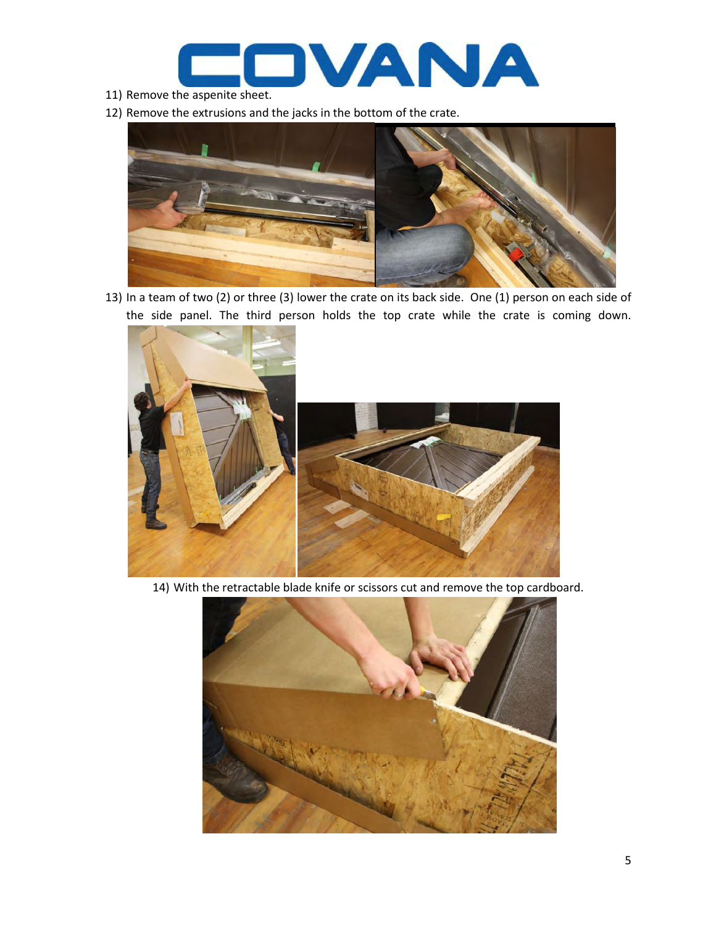

- 11) Remove the aspenite sheet.
- 12) Remove the extrusions and the jacks in the bottom of the crate.



13) In a team of two (2) or three (3) lower the crate on its back side. One (1) person on each side of the side panel. The third person holds the top crate while the crate is coming down.



14) With the retractable blade knife or scissors cut and remove the top cardboard.

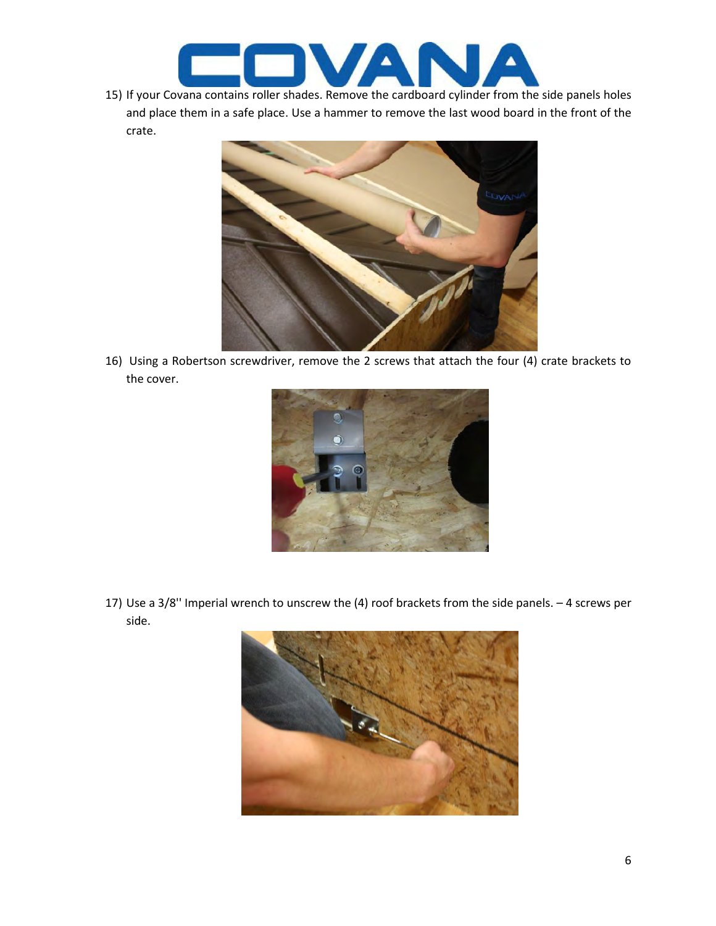

15) If your Covana contains roller shades. Remove the cardboard cylinder from the side panels holes and place them in a safe place. Use a hammer to remove the last wood board in the front of the crate.



16) Using a Robertson screwdriver, remove the 2 screws that attach the four (4) crate brackets to the cover.



17) Use a 3/8'' Imperial wrench to unscrew the (4) roof brackets from the side panels. – 4 screws per side.